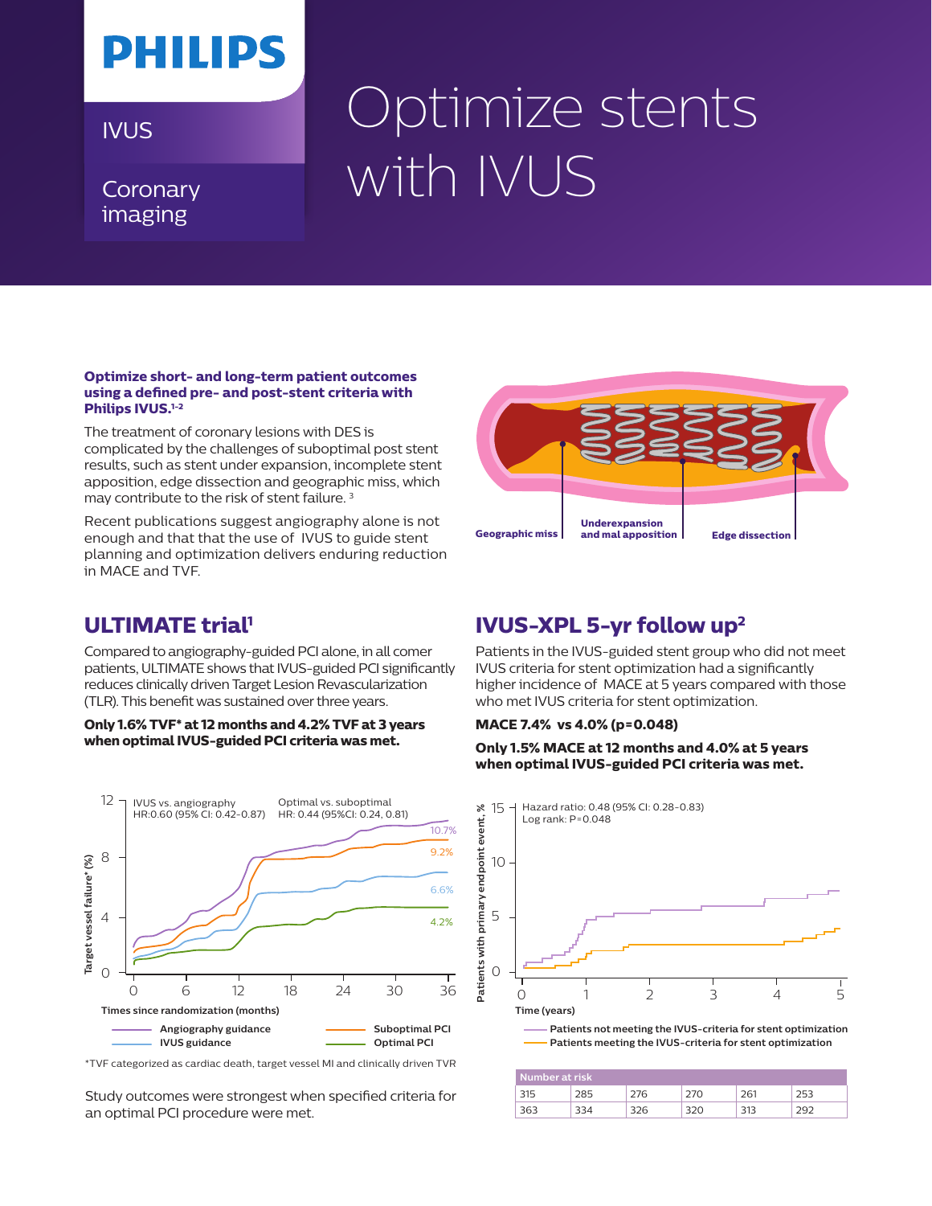# **PHILIPS**

### **Coronary** imaging

# IVUS Coptimize stents with IVUS

#### **Optimize short- and long-term patient outcomes using a defined pre- and post-stent criteria with Philips IVUS.1-2**

The treatment of coronary lesions with DES is complicated by the challenges of suboptimal post stent results, such as stent under expansion, incomplete stent apposition, edge dissection and geographic miss, which may contribute to the risk of stent failure.<sup>3</sup>

Recent publications suggest angiography alone is not enough and that that the use of IVUS to guide stent planning and optimization delivers enduring reduction in MACE and TVF.



## **ULTIMATE trial<sup>1</sup>**

Compared to angiography-guided PCI alone, in all comer patients, ULTIMATE shows that IVUS-guided PCI significantly reduces clinically driven Target Lesion Revascularization (TLR). This benefit was sustained over three years.

#### **Only 1.6% TVF\* at 12 months and 4.2% TVF at 3 years when optimal IVUS-guided PCI criteria was met.**



<sup>\*</sup>TVF categorized as cardiac death, target vessel MI and clinically driven TVR

Study outcomes were strongest when specified criteria for an optimal PCI procedure were met.

## **IVUS-XPL 5-yr follow up2**

Patients in the IVUS-guided stent group who did not meet IVUS criteria for stent optimization had a significantly higher incidence of MACE at 5 years compared with those who met IVUS criteria for stent optimization.

#### **MACE 7.4% vs 4.0% (p=0.048)**

**Only 1.5% MACE at 12 months and 4.0% at 5 years when optimal IVUS-guided PCI criteria was met.**



**Patients not meeting the IVUS-criteria for stent optimization Patients meeting the IVUS-criteria for stent optimization**

| Number at risk |  |  |  |  |  |
|----------------|--|--|--|--|--|
|                |  |  |  |  |  |
|                |  |  |  |  |  |